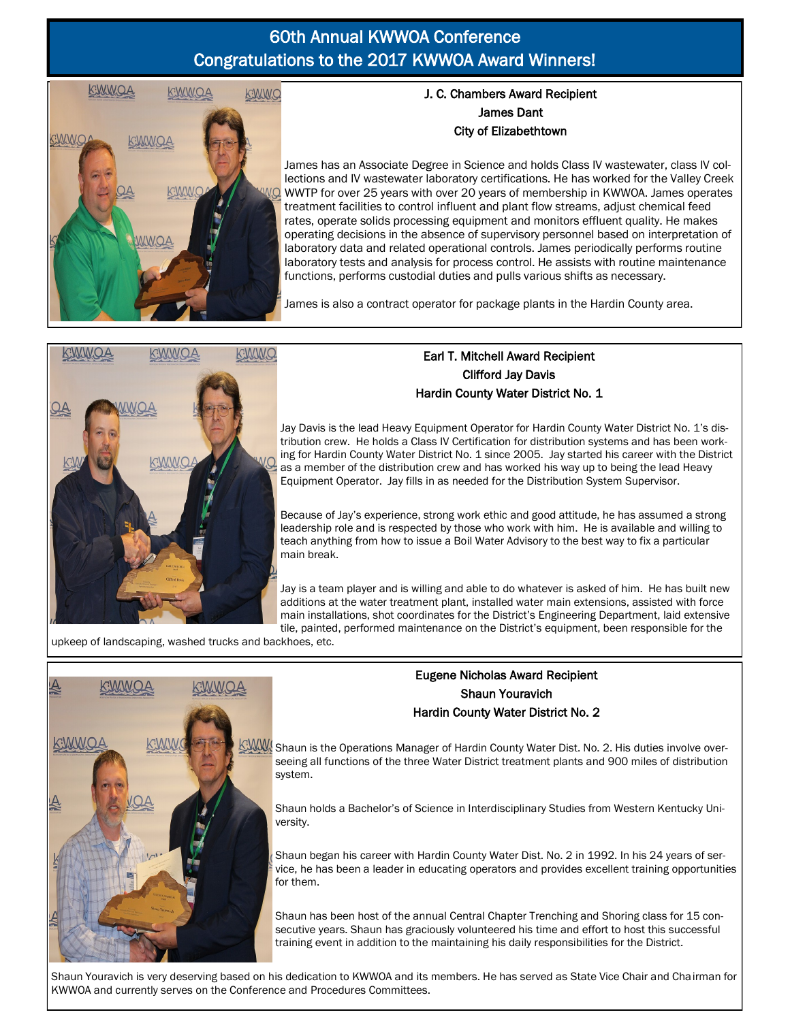# 60th Annual KWWOA Conference Congratulations to the 2017 KWWOA Award Winners!



### J. C. Chambers Award Recipient James Dant City of Elizabethtown

James has an Associate Degree in Science and holds Class IV wastewater, class IV collections and IV wastewater laboratory certifications. He has worked for the Valley Creek WWTP for over 25 years with over 20 years of membership in KWWOA. James operates treatment facilities to control influent and plant flow streams, adjust chemical feed rates, operate solids processing equipment and monitors effluent quality. He makes operating decisions in the absence of supervisory personnel based on interpretation of laboratory data and related operational controls. James periodically performs routine laboratory tests and analysis for process control. He assists with routine maintenance functions, performs custodial duties and pulls various shifts as necessary.

James is also a contract operator for package plants in the Hardin County area.



### Earl T. Mitchell Award Recipient Clifford Jay Davis Hardin County Water District No. 1

Jay Davis is the lead Heavy Equipment Operator for Hardin County Water District No. 1's distribution crew. He holds a Class IV Certification for distribution systems and has been working for Hardin County Water District No. 1 since 2005. Jay started his career with the District as a member of the distribution crew and has worked his way up to being the lead Heavy Equipment Operator. Jay fills in as needed for the Distribution System Supervisor.

Because of Jay's experience, strong work ethic and good attitude, he has assumed a strong leadership role and is respected by those who work with him. He is available and willing to teach anything from how to issue a Boil Water Advisory to the best way to fix a particular main break.

Jay is a team player and is willing and able to do whatever is asked of him. He has built new additions at the water treatment plant, installed water main extensions, assisted with force main installations, shot coordinates for the District's Engineering Department, laid extensive tile, painted, performed maintenance on the District's equipment, been responsible for the

upkeep of landscaping, washed trucks and backhoes, etc.



#### Eugene Nicholas Award Recipient Shaun Youravich Hardin County Water District No. 2

SWW Shaun is the Operations Manager of Hardin County Water Dist. No. 2. His duties involve overseeing all functions of the three Water District treatment plants and 900 miles of distribution system.

Shaun holds a Bachelor's of Science in Interdisciplinary Studies from Western Kentucky University.

Shaun began his career with Hardin County Water Dist. No. 2 in 1992. In his 24 years of service, he has been a leader in educating operators and provides excellent training opportunities for them.

Shaun has been host of the annual Central Chapter Trenching and Shoring class for 15 consecutive years. Shaun has graciously volunteered his time and effort to host this successful training event in addition to the maintaining his daily responsibilities for the District.

Shaun Youravich is very deserving based on his dedication to KWWOA and its members. He has served as State Vice Chair and Chairman for KWWOA and currently serves on the Conference and Procedures Committees.